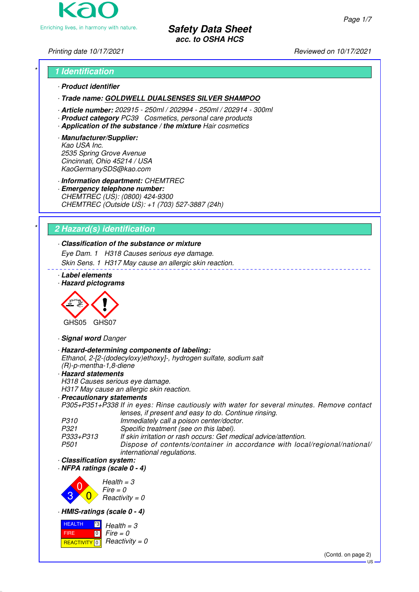

# \* **1 Identification**

# · **Product identifier**

# · **Trade name: GOLDWELL DUALSENSES SILVER SHAMPOO**

- · **Article number:** 202915 250ml / 202994 250ml / 202914 300ml
- · **Product category** PC39 Cosmetics, personal care products
- · **Application of the substance / the mixture** Hair cosmetics
- · **Manufacturer/Supplier:** Kao USA Inc. 2535 Spring Grove Avenue Cincinnati, Ohio 45214 / USA KaoGermanySDS@kao.com

· **Information department:** CHEMTREC

· **Emergency telephone number:** CHEMTREC (US): (0800) 424-9300 CHEMTREC (Outside US): +1 (703) 527-3887 (24h)

# \* **2 Hazard(s) identification**

# · **Classification of the substance or mixture**

Eye Dam. 1 H318 Causes serious eye damage.

Skin Sens. 1 H317 May cause an allergic skin reaction.

- · **Label elements**
- · **Hazard pictograms**



· **Signal word** Danger

- · **Hazard-determining components of labeling:** Ethanol, 2-[2-(dodecyloxy)ethoxy]-, hydrogen sulfate, sodium salt (R)-p-mentha-1,8-diene · **Hazard statements**
- 

H318 Causes serious eye damage. H317 May cause an allergic skin reaction.

· **Precautionary statements**

P305+P351+P338 If in eyes: Rinse cautiously with water for several minutes. Remove contact lenses, if present and easy to do. Continue rinsing.

| P310      | Immediately call a poison center/doctor.                                  |
|-----------|---------------------------------------------------------------------------|
| P321      | Specific treatment (see on this label).                                   |
| P333+P313 | If skin irritation or rash occurs: Get medical advice/attention.          |
| P501      | Dispose of contents/container in accordance with local/regional/national/ |
|           | <i>international regulations.</i>                                         |

· **Classification system:**

· **NFPA ratings (scale 0 - 4)**



· **HMIS-ratings (scale 0 - 4)**



(Contd. on page 2)

Printing date 10/17/2021 **Reviewed on 10/17/2021** 

US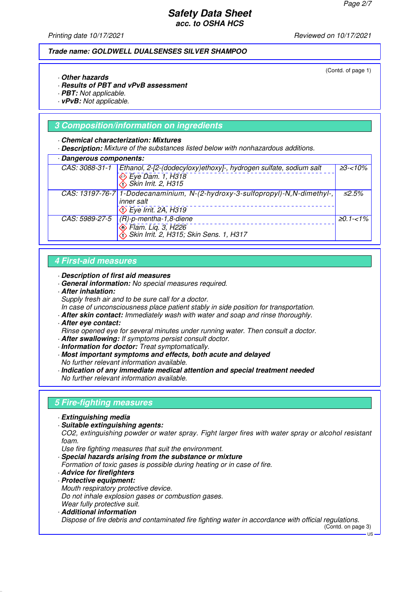Printing date 10/17/2021 **Reviewed on 10/17/2021** 

#### **Trade name: GOLDWELL DUALSENSES SILVER SHAMPOO**

(Contd. of page 1)

- · **Other hazards**
- · **Results of PBT and vPvB assessment**
- · **PBT:** Not applicable.
- · **vPvB:** Not applicable.

# **3 Composition/information on ingredients**

#### · **Chemical characterization: Mixtures**

· **Description:** Mixture of the substances listed below with nonhazardous additions.

| Dangerous components: |                                                                                              |                  |
|-----------------------|----------------------------------------------------------------------------------------------|------------------|
| CAS: 3088-31-1        | Ethanol, 2-[2-(dodecyloxy)ethoxy]-, hydrogen sulfate, sodium salt                            | $\geq 3 - 10\%$  |
|                       | Eye Dam. 1, H318<br>Skin Irrit. 2, H315                                                      |                  |
|                       | CAS: 13197-76-7 1-Dodecanaminium, N-(2-hydroxy-3-sulfopropyl)-N, N-dimethyl-,                | ≤2.5%            |
|                       | inner salt                                                                                   |                  |
|                       | $\Diamond$ Eye Irrit. 2A, H319                                                               |                  |
| CAS: 5989-27-5        | $(R)-p$ -mentha-1,8-diene                                                                    | $\geq 0.1 - 1\%$ |
|                       | So Flam. Liq. 3, H226<br>So Flam. Liq. 3, H226<br>So Skin Irrit. 2, H315; Skin Sens. 1, H317 |                  |

# **4 First-aid measures**

- · **Description of first aid measures**
- · **General information:** No special measures required.
- · **After inhalation:**

Supply fresh air and to be sure call for a doctor.

- In case of unconsciousness place patient stably in side position for transportation.
- · **After skin contact:** Immediately wash with water and soap and rinse thoroughly.
- · **After eye contact:**
- Rinse opened eye for several minutes under running water. Then consult a doctor.
- · **After swallowing:** If symptoms persist consult doctor.
- · **Information for doctor:** Treat symptomatically.
- · **Most important symptoms and effects, both acute and delayed** No further relevant information available.
- · **Indication of any immediate medical attention and special treatment needed** No further relevant information available.

# **5 Fire-fighting measures**

- · **Extinguishing media**
- · **Suitable extinguishing agents:**

CO2, extinguishing powder or water spray. Fight larger fires with water spray or alcohol resistant foam.

Use fire fighting measures that suit the environment.

· **Special hazards arising from the substance or mixture**

- Formation of toxic gases is possible during heating or in case of fire.
- · **Advice for firefighters**
- · **Protective equipment:** Mouth respiratory protective device. Do not inhale explosion gases or combustion gases. Wear fully protective suit.
- · **Additional information**

Dispose of fire debris and contaminated fire fighting water in accordance with official regulations. (Contd. on page 3)

 $\overline{18}$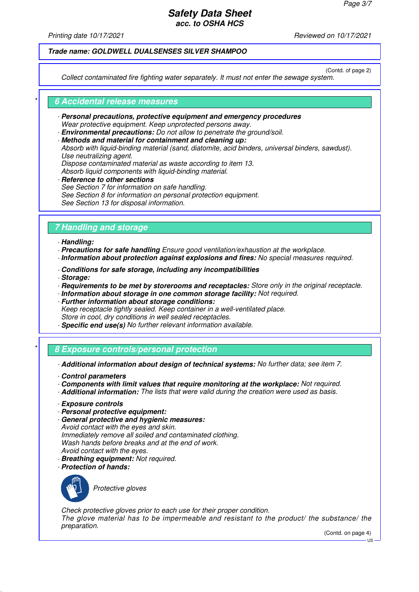Printing date 10/17/2021 **Reviewed on 10/17/2021** 

# **Trade name: GOLDWELL DUALSENSES SILVER SHAMPOO**

(Contd. of page 2)

Collect contaminated fire fighting water separately. It must not enter the sewage system.

#### \* **6 Accidental release measures**

- · **Personal precautions, protective equipment and emergency procedures** Wear protective equipment. Keep unprotected persons away.
- · **Environmental precautions:** Do not allow to penetrate the ground/soil.
- · **Methods and material for containment and cleaning up:**
- Absorb with liquid-binding material (sand, diatomite, acid binders, universal binders, sawdust). Use neutralizing agent.
- Dispose contaminated material as waste according to item 13.

Absorb liquid components with liquid-binding material.

**Reference to other sections** See Section 7 for information on safe handling. See Section 8 for information on personal protection equipment. See Section 13 for disposal information.

# **7 Handling and storage**

- · **Handling:**
- · **Precautions for safe handling** Ensure good ventilation/exhaustion at the workplace.
- · **Information about protection against explosions and fires:** No special measures required.
- · **Conditions for safe storage, including any incompatibilities**
- · **Storage:**
- · **Requirements to be met by storerooms and receptacles:** Store only in the original receptacle.
- · **Information about storage in one common storage facility:** Not required.
- · **Further information about storage conditions:** Keep receptacle tightly sealed. Keep container in a well-ventilated place. Store in cool, dry conditions in well sealed receptacles.
- · **Specific end use(s)** No further relevant information available.
- \* **8 Exposure controls/personal protection**
- · **Additional information about design of technical systems:** No further data; see item 7.
- · **Control parameters**
- · **Components with limit values that require monitoring at the workplace:** Not required.
- · **Additional information:** The lists that were valid during the creation were used as basis.
- · **Exposure controls**
- · **Personal protective equipment:**
- · **General protective and hygienic measures:** Avoid contact with the eyes and skin. Immediately remove all soiled and contaminated clothing. Wash hands before breaks and at the end of work. Avoid contact with the eyes.
- · **Breathing equipment:** Not required.
- · **Protection of hands:**



Protective gloves

Check protective gloves prior to each use for their proper condition. The glove material has to be impermeable and resistant to the product/ the substance/ the preparation.

(Contd. on page 4)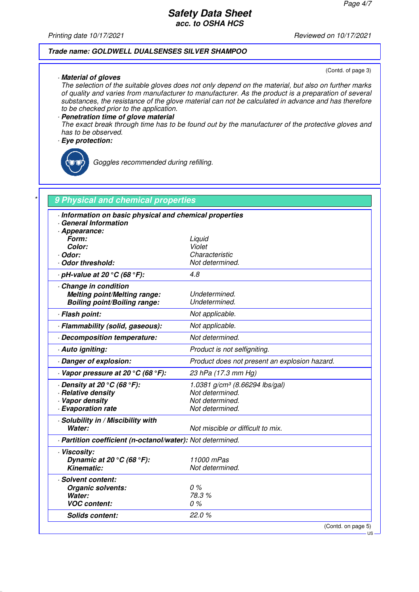Printing date 10/17/2021 **Printing date 10/17/2021** 

# **Trade name: GOLDWELL DUALSENSES SILVER SHAMPOO**

(Contd. of page 3)

· **Material of gloves** The selection of the suitable gloves does not only depend on the material, but also on further marks of quality and varies from manufacturer to manufacturer. As the product is a preparation of several substances, the resistance of the glove material can not be calculated in advance and has therefore to be checked prior to the application.

#### · **Penetration time of glove material**

The exact break through time has to be found out by the manufacturer of the protective gloves and has to be observed.

#### · **Eye protection:**



Goggles recommended during refilling.

| · Information on basic physical and chemical properties<br><b>General Information</b> |                                               |
|---------------------------------------------------------------------------------------|-----------------------------------------------|
| · Appearance:                                                                         |                                               |
| Form:                                                                                 | Liquid                                        |
| Color:                                                                                | Violet                                        |
| · Odor:                                                                               | Characteristic                                |
| Odor threshold:                                                                       | Not determined.                               |
| $\cdot$ pH-value at 20 $\degree$ C (68 $\degree$ F):                                  | 4.8                                           |
| Change in condition                                                                   |                                               |
| <b>Melting point/Melting range:</b>                                                   | Undetermined.                                 |
| <b>Boiling point/Boiling range:</b>                                                   | Undetermined.                                 |
| · Flash point:                                                                        | Not applicable.                               |
| · Flammability (solid, gaseous):                                                      | Not applicable.                               |
| Decomposition temperature:                                                            | Not determined.                               |
| · Auto igniting:                                                                      | Product is not selfigniting.                  |
| Danger of explosion:                                                                  | Product does not present an explosion hazard. |
| $\cdot$ Vapor pressure at 20 °C (68 °F):                                              | 23 hPa (17.3 mm Hg)                           |
| $\cdot$ Density at 20 $\degree$ C (68 $\degree$ F):                                   | 1.0381 g/cm <sup>3</sup> (8.66294 lbs/gal)    |
| · Relative density                                                                    | Not determined.                               |
| · Vapor density                                                                       | Not determined.                               |
| · Evaporation rate                                                                    | Not determined.                               |
| · Solubility in / Miscibility with                                                    |                                               |
| Water:                                                                                | Not miscible or difficult to mix.             |
| · Partition coefficient (n-octanol/water): Not determined.                            |                                               |
| · Viscosity:                                                                          |                                               |
| Dynamic at 20 $\degree$ C (68 $\degree$ F):                                           | 11000 mPas                                    |
| <b>Kinematic:</b>                                                                     | Not determined.                               |
| · Solvent content:                                                                    |                                               |
| Organic solvents:                                                                     | 0%                                            |
| Water:                                                                                | 78.3%                                         |
| <b>VOC content:</b>                                                                   | 0%                                            |
| Solids content:                                                                       | 22.0%                                         |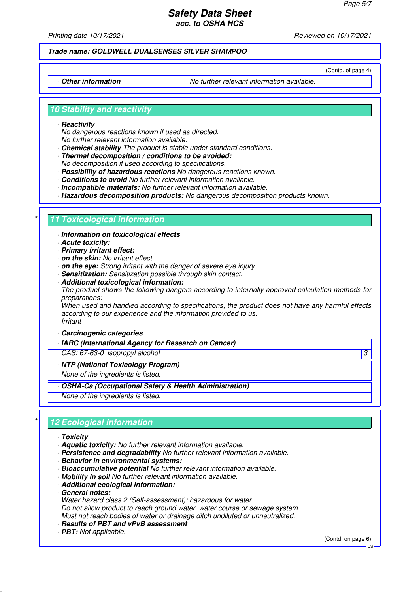Printing date 10/17/2021 **Reviewed on 10/17/2021** 

#### **Trade name: GOLDWELL DUALSENSES SILVER SHAMPOO**

(Contd. of page 4)

· **Other information** No further relevant information available.

#### **10 Stability and reactivity**

#### · **Reactivity**

No dangerous reactions known if used as directed. No further relevant information available.

- · **Chemical stability** The product is stable under standard conditions.
- · **Thermal decomposition / conditions to be avoided:**
- No decomposition if used according to specifications.
- · **Possibility of hazardous reactions** No dangerous reactions known.
- · **Conditions to avoid** No further relevant information available.
- · **Incompatible materials:** No further relevant information available.
- · **Hazardous decomposition products:** No dangerous decomposition products known.

# **11 Toxicological information**

· **Information on toxicological effects**

- · **Acute toxicity:**
- · **Primary irritant effect:**
- · **on the skin:** No irritant effect.
- · **on the eye:** Strong irritant with the danger of severe eye injury.
- · **Sensitization:** Sensitization possible through skin contact.
- · **Additional toxicological information:**

The product shows the following dangers according to internally approved calculation methods for preparations:

When used and handled according to specifications, the product does not have any harmful effects according to our experience and the information provided to us. Irritant

· **Carcinogenic categories**

· **IARC (International Agency for Research on Cancer)**

CAS: 67-63-0 isopropyl alcohol 3

#### · **NTP (National Toxicology Program)**

None of the ingredients is listed.

- · **OSHA-Ca (Occupational Safety & Health Administration)**
- None of the ingredients is listed.

# **12 Ecological information**

- · **Toxicity**
- · **Aquatic toxicity:** No further relevant information available.
- · **Persistence and degradability** No further relevant information available.
- · **Behavior in environmental systems:**
- · **Bioaccumulative potential** No further relevant information available.
- · **Mobility in soil** No further relevant information available.
- · **Additional ecological information:**
- · **General notes:**
- Water hazard class 2 (Self-assessment): hazardous for water Do not allow product to reach ground water, water course or sewage system.

Must not reach bodies of water or drainage ditch undiluted or unneutralized.

- · **Results of PBT and vPvB assessment**
- · **PBT:** Not applicable.

(Contd. on page 6)

 $H<sub>S</sub>$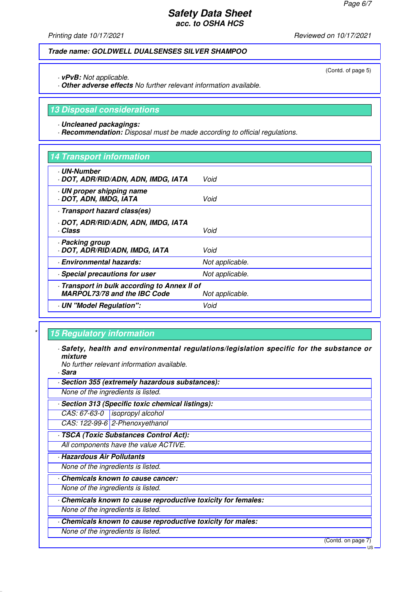(Contd. of page 5)

# **Safety Data Sheet acc. to OSHA HCS**

Printing date 10/17/2021 **Reviewed on 10/17/2021** 

# **Trade name: GOLDWELL DUALSENSES SILVER SHAMPOO**

· **vPvB:** Not applicable.

· **Other adverse effects** No further relevant information available.

### **13 Disposal considerations**

· **Uncleaned packagings:**

· **Recommendation:** Disposal must be made according to official regulations.

| 14 Transport information                                                          |                 |
|-----------------------------------------------------------------------------------|-----------------|
| <b>· UN-Number</b><br>· DOT, ADR/RID/ADN, ADN, IMDG, IATA                         | Void            |
| · UN proper shipping name<br>DOT, ADN, IMDG, IATA                                 | Void            |
| Transport hazard class(es)                                                        |                 |
| · DOT, ADR/RID/ADN, ADN, IMDG, IATA<br>· Class                                    | Void            |
| · Packing group<br>· DOT, ADR/RID/ADN, IMDG, IATA                                 | Void            |
| · Environmental hazards:                                                          | Not applicable. |
| · Special precautions for user                                                    | Not applicable. |
| Transport in bulk according to Annex II of<br><b>MARPOL73/78 and the IBC Code</b> | Not applicable. |
| - UN "Model Regulation":                                                          | Void            |

# **15 Regulatory information**

· **Safety, health and environmental regulations/legislation specific for the substance or mixture**

No further relevant information available.

· **Sara**

- · **Section 355 (extremely hazardous substances):**
- None of the ingredients is listed.
- · **Section 313 (Specific toxic chemical listings):**

CAS: 67-63-0 isopropyl alcohol

CAS: 122-99-6 2-Phenoxyethanol

· **TSCA (Toxic Substances Control Act):**

All components have the value ACTIVE.

· **Hazardous Air Pollutants**

None of the ingredients is listed.

· **Chemicals known to cause cancer:**

None of the ingredients is listed.

· **Chemicals known to cause reproductive toxicity for females:**

None of the ingredients is listed.

· **Chemicals known to cause reproductive toxicity for males:**

None of the ingredients is listed.

(Contd. on page 7)

US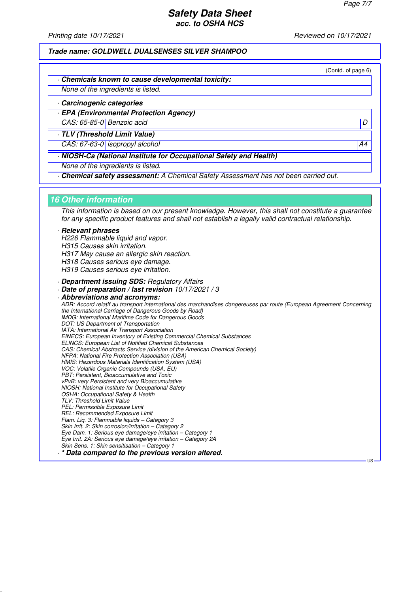Printing date 10/17/2021 **Reviewed on 10/17/2021** 

**Trade name: GOLDWELL DUALSENSES SILVER SHAMPOO**

(Contd. of page 6)

· **Chemicals known to cause developmental toxicity:**

None of the ingredients is listed.

· **Carcinogenic categories**

· **EPA (Environmental Protection Agency)**

CAS: 65-85-0 Benzoic acid D

· **TLV (Threshold Limit Value)** CAS: 67-63-0 isopropyl alcohol A4

· **NIOSH-Ca (National Institute for Occupational Safety and Health)**

None of the ingredients is listed.

· **Chemical safety assessment:** A Chemical Safety Assessment has not been carried out.

#### **16 Other information**

This information is based on our present knowledge. However, this shall not constitute a guarantee for any specific product features and shall not establish a legally valid contractual relationship.

#### · **Relevant phrases**

H226 Flammable liquid and vapor. H315 Causes skin irritation. H317 May cause an allergic skin reaction. H318 Causes serious eye damage. H319 Causes serious eye irritation.

· **Department issuing SDS:** Regulatory Affairs

· **Date of preparation / last revision** 10/17/2021 / 3

· **Abbreviations and acronyms:** ADR: Accord relatif au transport international des marchandises dangereuses par route (European Agreement Concerning the International Carriage of Dangerous Goods by Road) IMDG: International Maritime Code for Dangerous Goods DOT: US Department of Transportation IATA: International Air Transport Association EINECS: European Inventory of Existing Commercial Chemical Substances ELINCS: European List of Notified Chemical Substances CAS: Chemical Abstracts Service (division of the American Chemical Society) NFPA: National Fire Protection Association (USA) HMIS: Hazardous Materials Identification System (USA) VOC: Volatile Organic Compounds (USA, EU) PBT: Persistent, Bioaccumulative and Toxic vPvB: very Persistent and very Bioaccumulative NIOSH: National Institute for Occupational Safety OSHA: Occupational Safety & Health TLV: Threshold Limit Value PEL: Permissible Exposure Limit REL: Recommended Exposure Limit Flam. Liq. 3: Flammable liquids – Category 3 Skin Irrit. 2: Skin corrosion/irritation - Category 2 Eye Dam. 1: Serious eye damage/eye irritation – Category 1 Eye Irrit. 2A: Serious eye damage/eye irritation – Category 2A Skin Sens. 1: Skin sensitisation – Category 1

· **\* Data compared to the previous version altered.**

**LIC**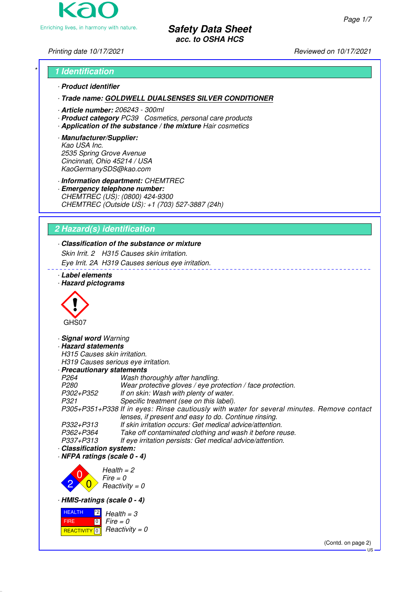

*Printing date 10/17/2021 Reviewed on 10/17/2021*

# *\** **1 Identification**

*·* **Product identifier**

*·* **Trade name: GOLDWELL DUALSENSES SILVER CONDITIONER**

- *·* **Article number:** *206243 300ml*
- *·* **Product category** *PC39 Cosmetics, personal care products*
- *·* **Application of the substance / the mixture** *Hair cosmetics*
- *·* **Manufacturer/Supplier:** *Kao USA Inc. 2535 Spring Grove Avenue Cincinnati, Ohio 45214 / USA KaoGermanySDS@kao.com*

*·* **Information department:** *CHEMTREC*

*·* **Emergency telephone number:** *CHEMTREC (US): (0800) 424-9300 CHEMTREC (Outside US): +1 (703) 527-3887 (24h)*

# **2 Hazard(s) identification**

# *·* **Classification of the substance or mixture**

*Skin Irrit. 2 H315 Causes skin irritation.*

*Eye Irrit. 2A H319 Causes serious eye irritation.*

- *·* **Label elements**
- *·* **Hazard pictograms**



*·* **Signal word** *Warning ·* **Hazard statements**

*H315 Causes skin irritation. H319 Causes serious eye irritation.*

*·* **Precautionary statements**

- *P264 Wash thoroughly after handling. Wear protective gloves / eye protection / face protection. P302+P352 If on skin: Wash with plenty of water. P321 Specific treatment (see on this label). P305+P351+P338 If in eyes: Rinse cautiously with water for several minutes. Remove contact lenses, if present and easy to do. Continue rinsing.*
- *P332+P313 If skin irritation occurs: Get medical advice/attention.* Take off contaminated clothing and wash it before reuse. *P337+P313 If eye irritation persists: Get medical advice/attention.*
- *·* **Classification system:**

*·* **NFPA ratings (scale 0 - 4)**



*·* **HMIS-ratings (scale 0 - 4)**



(Contd. on page 2)

 $H<sub>S</sub>$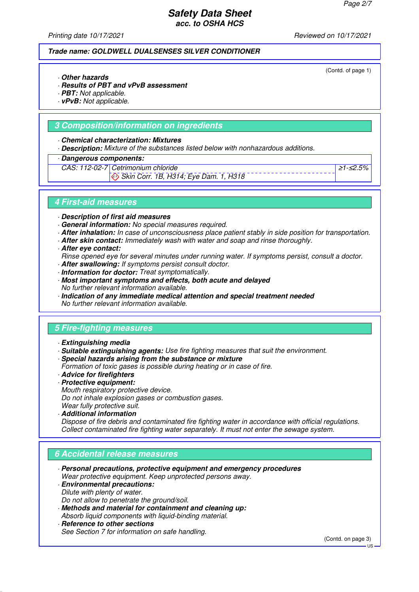*Printing date 10/17/2021 Reviewed on 10/17/2021*

#### **Trade name: GOLDWELL DUALSENSES SILVER CONDITIONER**

(Contd. of page 1)

- *·* **Other hazards**
- *·* **Results of PBT and vPvB assessment**
- *·* **PBT:** *Not applicable.*
- *·* **vPvB:** *Not applicable.*

# **3 Composition/information on ingredients**

#### *·* **Chemical characterization: Mixtures**

- *·* **Description:** *Mixture of the substances listed below with nonhazardous additions.*
- *·* **Dangerous components:**
- *CAS: 112-02-7 Cetrimonium chloride*
	- *Skin Corr. 1B, H314; Eye Dam. 1, H318*

≥*1-*≤*2.5%*

#### **4 First-aid measures**

*·* **Description of first aid measures**

- *·* **General information:** *No special measures required.*
- *·* **After inhalation:** *In case of unconsciousness place patient stably in side position for transportation.*
- *·* **After skin contact:** *Immediately wash with water and soap and rinse thoroughly.*
- *·* **After eye contact:**
- *Rinse opened eye for several minutes under running water. If symptoms persist, consult a doctor.*
- *·* **After swallowing:** *If symptoms persist consult doctor.*
- *·* **Information for doctor:** *Treat symptomatically.*
- *·* **Most important symptoms and effects, both acute and delayed** *No further relevant information available.*
- *·* **Indication of any immediate medical attention and special treatment needed** *No further relevant information available.*

# **5 Fire-fighting measures**

- *·* **Extinguishing media**
- *·* **Suitable extinguishing agents:** *Use fire fighting measures that suit the environment.*
- *·* **Special hazards arising from the substance or mixture**
- *Formation of toxic gases is possible during heating or in case of fire.*
- *·* **Advice for firefighters**
- *·* **Protective equipment:** *Mouth respiratory protective device. Do not inhale explosion gases or combustion gases. Wear fully protective suit.*
- *·* **Additional information**

*Dispose of fire debris and contaminated fire fighting water in accordance with official regulations. Collect contaminated fire fighting water separately. It must not enter the sewage system.*

# **6 Accidental release measures**

- *·* **Personal precautions, protective equipment and emergency procedures** *Wear protective equipment. Keep unprotected persons away.*
- *·* **Environmental precautions:** *Dilute with plenty of water. Do not allow to penetrate the ground/soil.*
- *·* **Methods and material for containment and cleaning up:** *Absorb liquid components with liquid-binding material.*
- *·* **Reference to other sections** *See Section 7 for information on safe handling.*

(Contd. on page 3)

 $H<sub>S</sub>$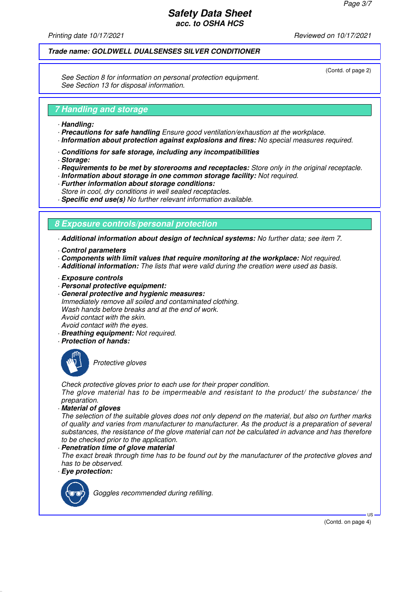*Printing date 10/17/2021 Reviewed on 10/17/2021*

# **Trade name: GOLDWELL DUALSENSES SILVER CONDITIONER**

(Contd. of page 2)

*See Section 8 for information on personal protection equipment. See Section 13 for disposal information.*

# **7 Handling and storage**

- *·* **Handling:**
- *·* **Precautions for safe handling** *Ensure good ventilation/exhaustion at the workplace.*
- *·* **Information about protection against explosions and fires:** *No special measures required.*
- *·* **Conditions for safe storage, including any incompatibilities**
- *·* **Storage:**
- *·* **Requirements to be met by storerooms and receptacles:** *Store only in the original receptacle.*
- *·* **Information about storage in one common storage facility:** *Not required.*
- *·* **Further information about storage conditions:**
- *Store in cool, dry conditions in well sealed receptacles.*
- *·* **Specific end use(s)** *No further relevant information available.*

# **8 Exposure controls/personal protection**

*·* **Additional information about design of technical systems:** *No further data; see item 7.*

- *·* **Control parameters**
- *·* **Components with limit values that require monitoring at the workplace:** *Not required.*
- *·* **Additional information:** *The lists that were valid during the creation were used as basis.*
- *·* **Exposure controls**
- *·* **Personal protective equipment:**
- *·* **General protective and hygienic measures:** *Immediately remove all soiled and contaminated clothing. Wash hands before breaks and at the end of work. Avoid contact with the skin. Avoid contact with the eyes.*
- *·* **Breathing equipment:** *Not required.*
- *·* **Protection of hands:**



*Protective gloves*

*Check protective gloves prior to each use for their proper condition.*

*The glove material has to be impermeable and resistant to the product/ the substance/ the preparation.*

*·* **Material of gloves**

*The selection of the suitable gloves does not only depend on the material, but also on further marks of quality and varies from manufacturer to manufacturer. As the product is a preparation of several substances, the resistance of the glove material can not be calculated in advance and has therefore to be checked prior to the application.*

#### *·* **Penetration time of glove material**

*The exact break through time has to be found out by the manufacturer of the protective gloves and has to be observed.*

*·* **Eye protection:**



*Goggles recommended during refilling.*

(Contd. on page 4)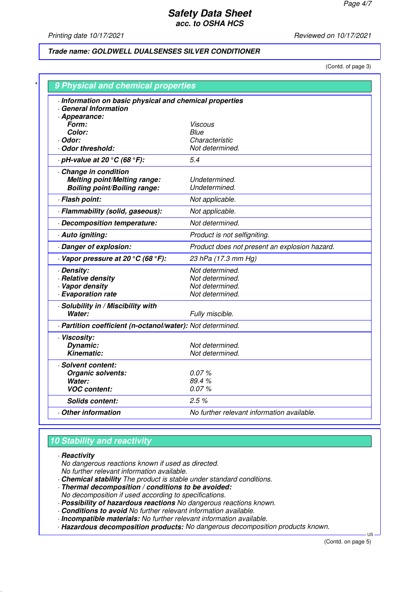*Printing date 10/17/2021 Reviewed on 10/17/2021*

# **Trade name: GOLDWELL DUALSENSES SILVER CONDITIONER**

(Contd. of page 3)

| · Information on basic physical and chemical properties    |                                               |
|------------------------------------------------------------|-----------------------------------------------|
| · General Information                                      |                                               |
| · Appearance:<br>Form:                                     | Viscous                                       |
| Color:                                                     | <i>Blue</i>                                   |
| · Odor:                                                    | Characteristic                                |
| Odor threshold:                                            | Not determined.                               |
| $\cdot$ pH-value at 20 $\degree$ C (68 $\degree$ F):       | 5.4                                           |
| Change in condition                                        |                                               |
| <b>Melting point/Melting range:</b>                        | Undetermined.                                 |
| <b>Boiling point/Boiling range:</b>                        | Undetermined.                                 |
| · Flash point:                                             | Not applicable.                               |
| · Flammability (solid, gaseous):                           | Not applicable.                               |
| Decomposition temperature:                                 | Not determined.                               |
| · Auto igniting:                                           | Product is not selfigniting.                  |
| Danger of explosion:                                       | Product does not present an explosion hazard. |
| $\cdot$ Vapor pressure at 20 °C (68 °F):                   | 23 hPa (17.3 mm Hg)                           |
| · Density:                                                 | Not determined.                               |
| · Relative density                                         | Not determined.                               |
| · Vapor density                                            | Not determined.                               |
| · Evaporation rate                                         | Not determined.                               |
| · Solubility in / Miscibility with                         |                                               |
| Water:                                                     | Fully miscible.                               |
| - Partition coefficient (n-octanol/water): Not determined. |                                               |
| · Viscosity:                                               |                                               |
| Dynamic:                                                   | Not determined.                               |
| <b>Kinematic:</b>                                          | Not determined.                               |
| · Solvent content:                                         |                                               |
| Organic solvents:                                          | 0.07%                                         |
| Water:                                                     | 89.4%                                         |
| <b>VOC content:</b>                                        | 0.07%                                         |
| <b>Solids content:</b>                                     | 2.5%                                          |
| Other information                                          | No further relevant information available.    |

# **10 Stability and reactivity**

*·* **Reactivity**

- *No dangerous reactions known if used as directed.*
- *No further relevant information available.*
- *·* **Chemical stability** *The product is stable under standard conditions.*
- *·* **Thermal decomposition / conditions to be avoided:**

*No decomposition if used according to specifications.*

- *·* **Possibility of hazardous reactions** *No dangerous reactions known.*
- *·* **Conditions to avoid** *No further relevant information available.*
- *·* **Incompatible materials:** *No further relevant information available.*

*·* **Hazardous decomposition products:** *No dangerous decomposition products known.*

**H**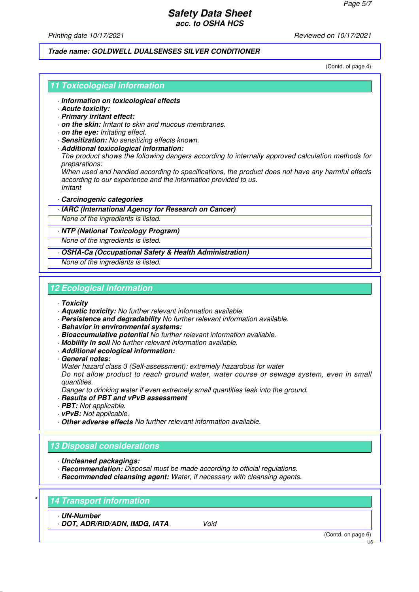*Printing date 10/17/2021 Reviewed on 10/17/2021*

#### **Trade name: GOLDWELL DUALSENSES SILVER CONDITIONER**

(Contd. of page 4)

### **11 Toxicological information**

- *·* **Information on toxicological effects**
- *·* **Acute toxicity:**
- *·* **Primary irritant effect:**
- *·* **on the skin:** *Irritant to skin and mucous membranes.*
- *·* **on the eye:** *Irritating effect.*
- *·* **Sensitization:** *No sensitizing effects known.*
- *·* **Additional toxicological information:**

*The product shows the following dangers according to internally approved calculation methods for preparations:*

*When used and handled according to specifications, the product does not have any harmful effects according to our experience and the information provided to us. Irritant*

- *·* **Carcinogenic categories**
- *·* **IARC (International Agency for Research on Cancer)**

*None of the ingredients is listed.*

#### *·* **NTP (National Toxicology Program)**

*None of the ingredients is listed.*

*·* **OSHA-Ca (Occupational Safety & Health Administration)**

*None of the ingredients is listed.*

# **12 Ecological information**

#### *·* **Toxicity**

- *·* **Aquatic toxicity:** *No further relevant information available.*
- *·* **Persistence and degradability** *No further relevant information available.*
- *·* **Behavior in environmental systems:**
- *·* **Bioaccumulative potential** *No further relevant information available.*
- *·* **Mobility in soil** *No further relevant information available.*
- *·* **Additional ecological information:**
- *·* **General notes:**
- *Water hazard class 3 (Self-assessment): extremely hazardous for water*

*Do not allow product to reach ground water, water course or sewage system, even in small quantities.*

*Danger to drinking water if even extremely small quantities leak into the ground.*

- *·* **Results of PBT and vPvB assessment**
- *·* **PBT:** *Not applicable.*
- *·* **vPvB:** *Not applicable.*
- *·* **Other adverse effects** *No further relevant information available.*

# **13 Disposal considerations**

- *·* **Uncleaned packagings:**
- *·* **Recommendation:** *Disposal must be made according to official regulations.*
- *·* **Recommended cleansing agent:** *Water, if necessary with cleansing agents.*

# *\** **14 Transport information**

*·* **UN-Number**

*·* **DOT, ADR/RID/ADN, IMDG, IATA** *Void*

(Contd. on page 6)

US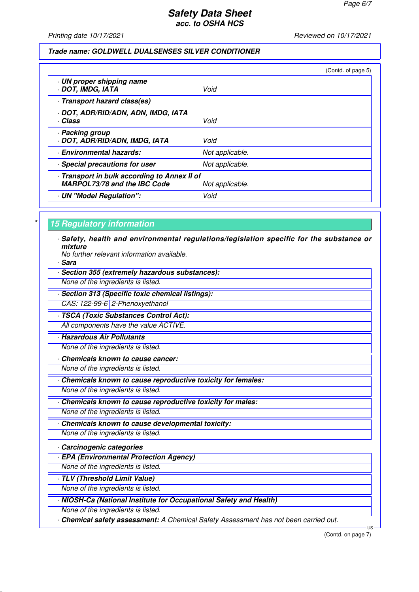#### *Printing date 10/17/2021 Reviewed on 10/17/2021*

#### **Trade name: GOLDWELL DUALSENSES SILVER CONDITIONER**

|                                                                                     | (Contd. of page 5) |
|-------------------------------------------------------------------------------------|--------------------|
| · UN proper shipping name<br>DOT, IMDG, IATA                                        | Void               |
| · Transport hazard class(es)                                                        |                    |
| · DOT, ADR/RID/ADN, ADN, IMDG, IATA<br>· Class                                      | Void               |
| · Packing group<br>· DOT, ADR/RID/ADN, IMDG, IATA                                   | Void               |
| · Environmental hazards:                                                            | Not applicable.    |
| · Special precautions for user                                                      | Not applicable.    |
| - Transport in bulk according to Annex II of<br><b>MARPOL73/78 and the IBC Code</b> | Not applicable.    |
| UN "Model Regulation":                                                              | Void               |
|                                                                                     |                    |

### **15 Regulatory information**

- *·* **Safety, health and environmental regulations/legislation specific for the substance or mixture**
	- *No further relevant information available.*
- *·* **Sara**
- *·* **Section 355 (extremely hazardous substances):**
- *None of the ingredients is listed.*
- *·* **Section 313 (Specific toxic chemical listings):** *CAS: 122-99-6 2-Phenoxyethanol*
- *·* **TSCA (Toxic Substances Control Act):** *All components have the value ACTIVE.*
- *·* **Hazardous Air Pollutants**
- *None of the ingredients is listed.*
- *·* **Chemicals known to cause cancer:**
- *None of the ingredients is listed.*
- *·* **Chemicals known to cause reproductive toxicity for females:**
- *None of the ingredients is listed.*
- *·* **Chemicals known to cause reproductive toxicity for males:**
- *None of the ingredients is listed.*
- *·* **Chemicals known to cause developmental toxicity:**
- *None of the ingredients is listed.*
- *·* **Carcinogenic categories**
- *·* **EPA (Environmental Protection Agency)**
- *None of the ingredients is listed.*
- *·* **TLV (Threshold Limit Value)**
- *None of the ingredients is listed.*
- *·* **NIOSH-Ca (National Institute for Occupational Safety and Health)**
- *None of the ingredients is listed.*
- *·* **Chemical safety assessment:** *A Chemical Safety Assessment has not been carried out.*

 US (Contd. on page 7)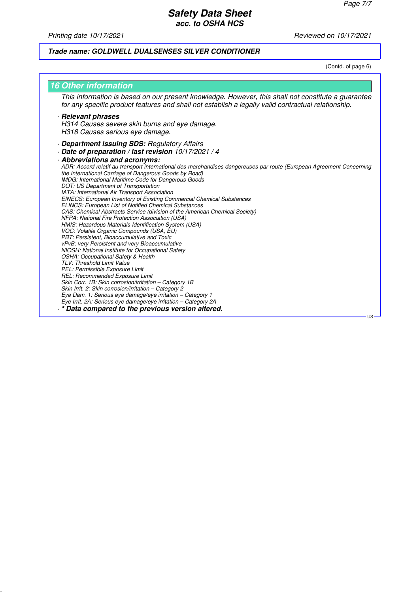*Printing date 10/17/2021 Reviewed on 10/17/2021*

# **Trade name: GOLDWELL DUALSENSES SILVER CONDITIONER**

(Contd. of page 6)

| <b>16 Other information</b>                                                                                                                                                                                                                                                                                                                                                                                                                                                                                                                                                                                                                                                                                                                                                                                                                                                                                                                                                                                                                                                                                                                                                                                                                                                                                                                                                                                                                                                   |
|-------------------------------------------------------------------------------------------------------------------------------------------------------------------------------------------------------------------------------------------------------------------------------------------------------------------------------------------------------------------------------------------------------------------------------------------------------------------------------------------------------------------------------------------------------------------------------------------------------------------------------------------------------------------------------------------------------------------------------------------------------------------------------------------------------------------------------------------------------------------------------------------------------------------------------------------------------------------------------------------------------------------------------------------------------------------------------------------------------------------------------------------------------------------------------------------------------------------------------------------------------------------------------------------------------------------------------------------------------------------------------------------------------------------------------------------------------------------------------|
| This information is based on our present knowledge. However, this shall not constitute a guarantee<br>for any specific product features and shall not establish a legally valid contractual relationship.                                                                                                                                                                                                                                                                                                                                                                                                                                                                                                                                                                                                                                                                                                                                                                                                                                                                                                                                                                                                                                                                                                                                                                                                                                                                     |
| · Relevant phrases<br>H314 Causes severe skin burns and eye damage.<br>H318 Causes serious eye damage.                                                                                                                                                                                                                                                                                                                                                                                                                                                                                                                                                                                                                                                                                                                                                                                                                                                                                                                                                                                                                                                                                                                                                                                                                                                                                                                                                                        |
| Department issuing SDS: Regulatory Affairs<br>Date of preparation / last revision 10/17/2021 / 4<br>Abbreviations and acronyms:<br>ADR: Accord relatif au transport international des marchandises dangereuses par route (European Agreement Concerning<br>the International Carriage of Dangerous Goods by Road)<br>IMDG: International Maritime Code for Dangerous Goods<br>DOT: US Department of Transportation<br>IATA: International Air Transport Association<br><b>EINECS: European Inventory of Existing Commercial Chemical Substances</b><br><b>ELINCS: European List of Notified Chemical Substances</b><br>CAS: Chemical Abstracts Service (division of the American Chemical Society)<br>NFPA: National Fire Protection Association (USA)<br>HMIS: Hazardous Materials Identification System (USA)<br>VOC: Volatile Organic Compounds (USA, EU)<br>PBT: Persistent, Bioaccumulative and Toxic<br>vPvB: very Persistent and very Bioaccumulative<br>NIOSH: National Institute for Occupational Safety<br><b>OSHA: Occupational Safety &amp; Health</b><br>TLV: Threshold Limit Value<br>PEL: Permissible Exposure Limit<br>REL: Recommended Exposure Limit<br>Skin Corr. 1B: Skin corrosion/irritation - Category 1B<br>Skin Irrit. 2: Skin corrosion/irritation - Category 2<br>Eye Dam. 1: Serious eye damage/eye irritation – Category 1<br>Eye Irrit. 2A: Serious eye damage/eye irritation - Category 2A<br>* Data compared to the previous version altered. |
| $US -$                                                                                                                                                                                                                                                                                                                                                                                                                                                                                                                                                                                                                                                                                                                                                                                                                                                                                                                                                                                                                                                                                                                                                                                                                                                                                                                                                                                                                                                                        |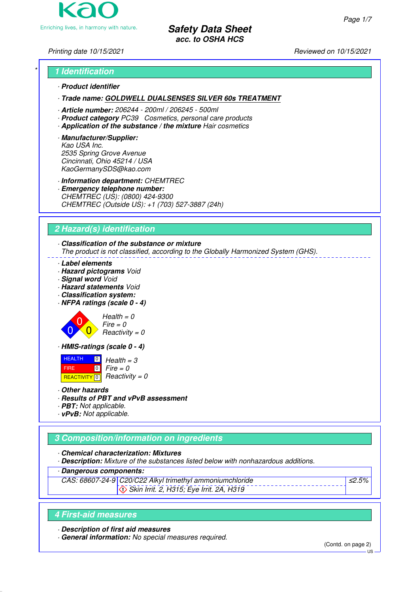

Printing date 10/15/2021 **Reviewed on 10/15/2021** Reviewed on 10/15/2021

# \* **1 Identification**

· **Product identifier**

· **Trade name: GOLDWELL DUALSENSES SILVER 60s TREATMENT**

· **Article number:** 206244 - 200ml / 206245 - 500ml

- · **Product category** PC39 Cosmetics, personal care products
- · **Application of the substance / the mixture** Hair cosmetics
- · **Manufacturer/Supplier:** Kao USA Inc. 2535 Spring Grove Avenue Cincinnati, Ohio 45214 / USA KaoGermanySDS@kao.com

· **Information department:** CHEMTREC

· **Emergency telephone number:** CHEMTREC (US): (0800) 424-9300 CHEMTREC (Outside US): +1 (703) 527-3887 (24h)

# **2 Hazard(s) identification**

# · **Classification of the substance or mixture**

The product is not classified, according to the Globally Harmonized System (GHS).

- · **Label elements**
- · **Hazard pictograms** Void
- · **Signal word** Void
- · **Hazard statements** Void
- · **Classification system:**
- · **NFPA ratings (scale 0 4)**



 $Health = 0$  $Fire = 0$  $Reactivity = 0$ 

· **HMIS-ratings (scale 0 - 4)**

**HEALTH**  FIRE REACTIVITY  $\boxed{0}$  Reactivity = 0  $\boxed{0}$  $\boxed{0}$  $Health = 3$  $Fire = 0$ 

- · **Other hazards**
- · **Results of PBT and vPvB assessment**
- · **PBT:** Not applicable.
- · **vPvB:** Not applicable.

# **3 Composition/information on ingredients**

· **Chemical characterization: Mixtures**

· **Description:** Mixture of the substances listed below with nonhazardous additions.

· **Dangerous components:**

CAS: 68607-24-9 C20/C22 Alkyl trimethyl ammoniumchloride Skin Irrit. 2, H315; Eye Irrit. 2A, H319

# **4 First-aid measures**

· **Description of first aid measures**

· **General information:** No special measures required.

(Contd. on page 2)

≤2.5%

US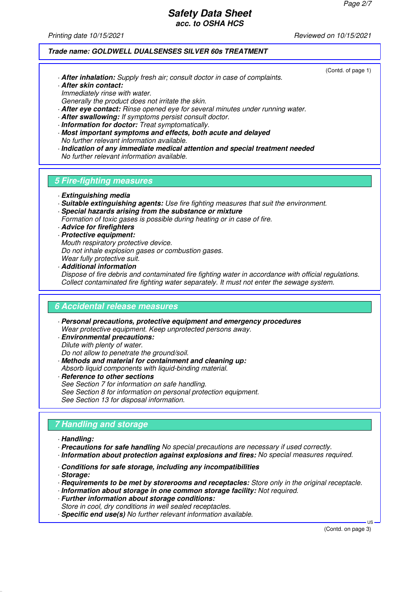Printing date 10/15/2021 **Reviewed on 10/15/2021** Reviewed on 10/15/2021

(Contd. of page 1)

# **Trade name: GOLDWELL DUALSENSES SILVER 60s TREATMENT**

- · **After inhalation:** Supply fresh air; consult doctor in case of complaints. · **After skin contact:**
- Immediately rinse with water.
- Generally the product does not irritate the skin.
- · **After eye contact:** Rinse opened eye for several minutes under running water.
- · **After swallowing:** If symptoms persist consult doctor.
- · **Information for doctor:** Treat symptomatically.
- · **Most important symptoms and effects, both acute and delayed** No further relevant information available.
- · **Indication of any immediate medical attention and special treatment needed** No further relevant information available.

# **5 Fire-fighting measures**

- · **Extinguishing media**
- · **Suitable extinguishing agents:** Use fire fighting measures that suit the environment.
- · **Special hazards arising from the substance or mixture**
- Formation of toxic gases is possible during heating or in case of fire.
- · **Advice for firefighters**
- · **Protective equipment:**
- Mouth respiratory protective device. Do not inhale explosion gases or combustion gases.
- Wear fully protective suit.
- · **Additional information** Dispose of fire debris and contaminated fire fighting water in accordance with official regulations. Collect contaminated fire fighting water separately. It must not enter the sewage system.

# **6 Accidental release measures**

- · **Personal precautions, protective equipment and emergency procedures** Wear protective equipment. Keep unprotected persons away.
- · **Environmental precautions:** Dilute with plenty of water. Do not allow to penetrate the ground/soil.

See Section 13 for disposal information.

- · **Methods and material for containment and cleaning up:** Absorb liquid components with liquid-binding material.
- · **Reference to other sections** See Section 7 for information on safe handling. See Section 8 for information on personal protection equipment.
- **7 Handling and storage**
- · **Handling:**
- · **Precautions for safe handling** No special precautions are necessary if used correctly.
- · **Information about protection against explosions and fires:** No special measures required.
- · **Conditions for safe storage, including any incompatibilities**
- · **Storage:**
- · **Requirements to be met by storerooms and receptacles:** Store only in the original receptacle.
- · **Information about storage in one common storage facility:** Not required.
- · **Further information about storage conditions:**
- Store in cool, dry conditions in well sealed receptacles.
- · **Specific end use(s)** No further relevant information available.

(Contd. on page 3)

 $H<sub>S</sub>$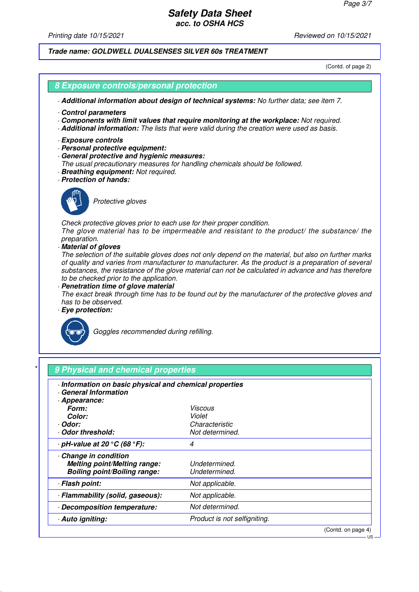Printing date 10/15/2021 **Reviewed on 10/15/2021** Reviewed on 10/15/2021

**Trade name: GOLDWELL DUALSENSES SILVER 60s TREATMENT**

(Contd. of page 2)

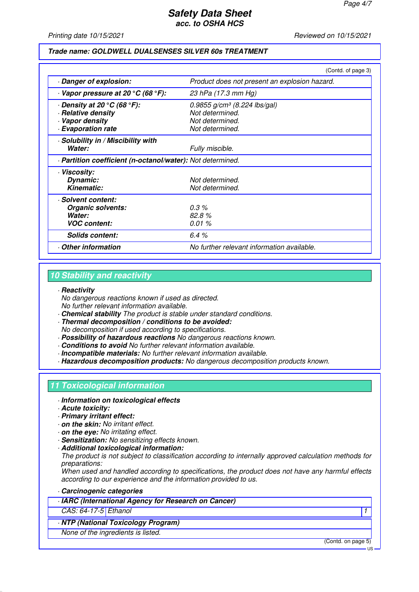Printing date 10/15/2021 **Reviewed on 10/15/2021** Reviewed on 10/15/2021

#### **Trade name: GOLDWELL DUALSENSES SILVER 60s TREATMENT**

| Product does not present an explosion hazard.<br>Danger of explosion:<br>$\cdot$ Vapor pressure at 20 $\rm{^{\circ}C}$ (68 $\rm{^{\circ}F}$ ):<br>23 hPa (17.3 mm Hg)<br>$\cdot$ Density at 20 $\rm{^{\circ}C}$ (68 $\rm{^{\circ}F}$ ):<br>$0.9855$ g/cm <sup>3</sup> (8.224 lbs/gal)<br>· Relative density<br>Not determined.<br>· Vapor density<br>Not determined.<br>· Evaporation rate<br>Not determined.<br>· Solubility in / Miscibility with<br>Water:<br>Fully miscible.<br>· Partition coefficient (n-octanol/water): Not determined.<br>· Viscosity:<br>Not determined.<br>Dynamic:<br>Kinematic:<br>Not determined.<br>· Solvent content:<br>$0.3\%$<br><b>Organic solvents:</b><br>82.8%<br>Water:<br><b>VOC content:</b><br>0.01%<br>6.4%<br><b>Solids content:</b><br>Other information<br>No further relevant information available. |  | (Contd. of page 3) |  |
|-----------------------------------------------------------------------------------------------------------------------------------------------------------------------------------------------------------------------------------------------------------------------------------------------------------------------------------------------------------------------------------------------------------------------------------------------------------------------------------------------------------------------------------------------------------------------------------------------------------------------------------------------------------------------------------------------------------------------------------------------------------------------------------------------------------------------------------------------------|--|--------------------|--|
|                                                                                                                                                                                                                                                                                                                                                                                                                                                                                                                                                                                                                                                                                                                                                                                                                                                     |  |                    |  |
|                                                                                                                                                                                                                                                                                                                                                                                                                                                                                                                                                                                                                                                                                                                                                                                                                                                     |  |                    |  |
|                                                                                                                                                                                                                                                                                                                                                                                                                                                                                                                                                                                                                                                                                                                                                                                                                                                     |  |                    |  |
|                                                                                                                                                                                                                                                                                                                                                                                                                                                                                                                                                                                                                                                                                                                                                                                                                                                     |  |                    |  |
|                                                                                                                                                                                                                                                                                                                                                                                                                                                                                                                                                                                                                                                                                                                                                                                                                                                     |  |                    |  |
|                                                                                                                                                                                                                                                                                                                                                                                                                                                                                                                                                                                                                                                                                                                                                                                                                                                     |  |                    |  |
|                                                                                                                                                                                                                                                                                                                                                                                                                                                                                                                                                                                                                                                                                                                                                                                                                                                     |  |                    |  |
|                                                                                                                                                                                                                                                                                                                                                                                                                                                                                                                                                                                                                                                                                                                                                                                                                                                     |  |                    |  |
|                                                                                                                                                                                                                                                                                                                                                                                                                                                                                                                                                                                                                                                                                                                                                                                                                                                     |  |                    |  |
|                                                                                                                                                                                                                                                                                                                                                                                                                                                                                                                                                                                                                                                                                                                                                                                                                                                     |  |                    |  |
|                                                                                                                                                                                                                                                                                                                                                                                                                                                                                                                                                                                                                                                                                                                                                                                                                                                     |  |                    |  |
|                                                                                                                                                                                                                                                                                                                                                                                                                                                                                                                                                                                                                                                                                                                                                                                                                                                     |  |                    |  |
|                                                                                                                                                                                                                                                                                                                                                                                                                                                                                                                                                                                                                                                                                                                                                                                                                                                     |  |                    |  |
|                                                                                                                                                                                                                                                                                                                                                                                                                                                                                                                                                                                                                                                                                                                                                                                                                                                     |  |                    |  |
|                                                                                                                                                                                                                                                                                                                                                                                                                                                                                                                                                                                                                                                                                                                                                                                                                                                     |  |                    |  |
|                                                                                                                                                                                                                                                                                                                                                                                                                                                                                                                                                                                                                                                                                                                                                                                                                                                     |  |                    |  |
|                                                                                                                                                                                                                                                                                                                                                                                                                                                                                                                                                                                                                                                                                                                                                                                                                                                     |  |                    |  |
|                                                                                                                                                                                                                                                                                                                                                                                                                                                                                                                                                                                                                                                                                                                                                                                                                                                     |  |                    |  |

# **10 Stability and reactivity**

#### · **Reactivity**

No dangerous reactions known if used as directed. No further relevant information available.

- · **Chemical stability** The product is stable under standard conditions.
- · **Thermal decomposition / conditions to be avoided:**

No decomposition if used according to specifications.

- · **Possibility of hazardous reactions** No dangerous reactions known.
- · **Conditions to avoid** No further relevant information available.
- · **Incompatible materials:** No further relevant information available.

· **Hazardous decomposition products:** No dangerous decomposition products known.

# **11 Toxicological information**

- · **Information on toxicological effects**
- · **Acute toxicity:**
- · **Primary irritant effect:**
- · **on the skin:** No irritant effect.
- · **on the eye:** No irritating effect.
- · **Sensitization:** No sensitizing effects known.
- · **Additional toxicological information:**

The product is not subject to classification according to internally approved calculation methods for preparations:

When used and handled according to specifications, the product does not have any harmful effects according to our experience and the information provided to us.

- · **Carcinogenic categories**
- · **IARC (International Agency for Research on Cancer)**

CAS: 64-17-5 Ethanol 1

· **NTP (National Toxicology Program)**

None of the ingredients is listed.

(Contd. on page 5)

US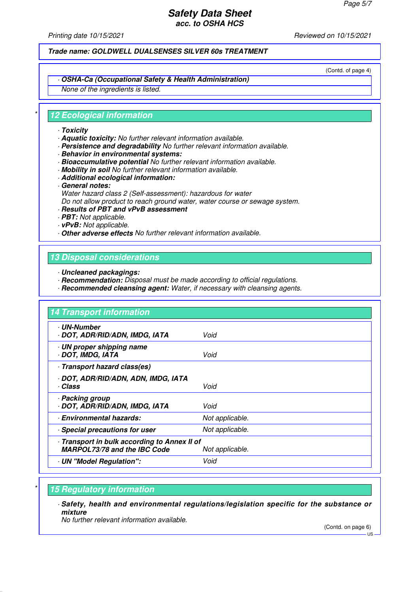Printing date 10/15/2021 Reviewed on 10/15/2021

**Trade name: GOLDWELL DUALSENSES SILVER 60s TREATMENT**

(Contd. of page 4)

# · **OSHA-Ca (Occupational Safety & Health Administration)**

None of the ingredients is listed.

# **12 Ecological information**

#### · **Toxicity**

- · **Aquatic toxicity:** No further relevant information available.
- · **Persistence and degradability** No further relevant information available.
- · **Behavior in environmental systems:**
- · **Bioaccumulative potential** No further relevant information available.
- · **Mobility in soil** No further relevant information available.
- · **Additional ecological information:**
- · **General notes:**
- Water hazard class 2 (Self-assessment): hazardous for water Do not allow product to reach ground water, water course or sewage system.

# · **Results of PBT and vPvB assessment**

- · **PBT:** Not applicable.
- · **vPvB:** Not applicable.
- · **Other adverse effects** No further relevant information available.

# **13 Disposal considerations**

- · **Uncleaned packagings:**
- · **Recommendation:** Disposal must be made according to official regulations.
- · **Recommended cleansing agent:** Water, if necessary with cleansing agents.

| 14 Transport information                                                          |                 |
|-----------------------------------------------------------------------------------|-----------------|
| · UN-Number<br>· DOT, ADR/RID/ADN, IMDG, IATA                                     | Void            |
| · UN proper shipping name<br>DOT, IMDG, IATA                                      | Void            |
| Transport hazard class(es)                                                        |                 |
| · DOT, ADR/RID/ADN, ADN, IMDG, IATA<br>· Class                                    | Void            |
| · Packing group<br>· DOT, ADR/RID/ADN, IMDG, IATA                                 | Void            |
| · Environmental hazards:                                                          | Not applicable. |
| · Special precautions for user                                                    | Not applicable. |
| Transport in bulk according to Annex II of<br><b>MARPOL73/78 and the IBC Code</b> | Not applicable. |
| UN "Model Regulation":                                                            | Void            |

# **15 Regulatory information**

· **Safety, health and environmental regulations/legislation specific for the substance or mixture**

No further relevant information available.

(Contd. on page 6)

US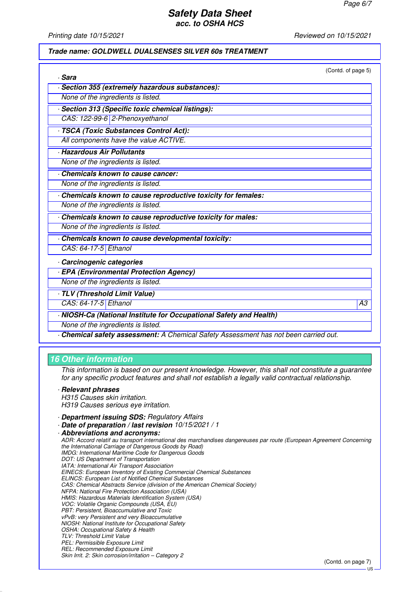Printing date 10/15/2021 **Reviewed on 10/15/2021** Reviewed on 10/15/2021

#### **Trade name: GOLDWELL DUALSENSES SILVER 60s TREATMENT**

| · Sara                                                             | (Contd. of page 5) |
|--------------------------------------------------------------------|--------------------|
| Section 355 (extremely hazardous substances):                      |                    |
| None of the ingredients is listed.                                 |                    |
| Section 313 (Specific toxic chemical listings):                    |                    |
| CAS: 122-99-6 2-Phenoxyethanol                                     |                    |
| · TSCA (Toxic Substances Control Act):                             |                    |
| All components have the value ACTIVE.                              |                    |
| · Hazardous Air Pollutants                                         |                    |
| None of the ingredients is listed.                                 |                    |
| <b>Chemicals known to cause cancer:</b>                            |                    |
| None of the ingredients is listed.                                 |                    |
| Chemicals known to cause reproductive toxicity for females:        |                    |
| None of the ingredients is listed.                                 |                    |
| Chemicals known to cause reproductive toxicity for males:          |                    |
| None of the ingredients is listed.                                 |                    |
| Chemicals known to cause developmental toxicity:                   |                    |
| CAS: 64-17-5 Ethanol                                               |                    |
| Carcinogenic categories                                            |                    |
| <b>· EPA (Environmental Protection Agency)</b>                     |                    |
| None of the ingredients is listed.                                 |                    |
| TLV (Threshold Limit Value)                                        |                    |
| CAS: 64-17-5 Ethanol                                               | ΑЗ                 |
| - NIOSH-Ca (National Institute for Occupational Safety and Health) |                    |
| None of the ingredients is listed.                                 |                    |

# **16 Other information**

This information is based on our present knowledge. However, this shall not constitute a guarantee for any specific product features and shall not establish a legally valid contractual relationship.

#### · **Relevant phrases**

H315 Causes skin irritation. H319 Causes serious eye irritation.

- · **Department issuing SDS:** Regulatory Affairs
- · **Date of preparation / last revision** 10/15/2021 / 1

· **Abbreviations and acronyms:**

ADR: Accord relatif au transport international des marchandises dangereuses par route (European Agreement Concerning the International Carriage of Dangerous Goods by Road) IMDG: International Maritime Code for Dangerous Goods DOT: US Department of Transportation IATA: International Air Transport Association EINECS: European Inventory of Existing Commercial Chemical Substances ELINCS: European List of Notified Chemical Substances CAS: Chemical Abstracts Service (division of the American Chemical Society) NFPA: National Fire Protection Association (USA) HMIS: Hazardous Materials Identification System (USA) VOC: Volatile Organic Compounds (USA, EU) PBT: Persistent, Bioaccumulative and Toxic vPvB: very Persistent and very Bioaccumulative NIOSH: National Institute for Occupational Safety OSHA: Occupational Safety & Health TLV: Threshold Limit Value PEL: Permissible Exposure Limit REL: Recommended Exposure Limit Skin Irrit. 2: Skin corrosion/irritation – Category 2